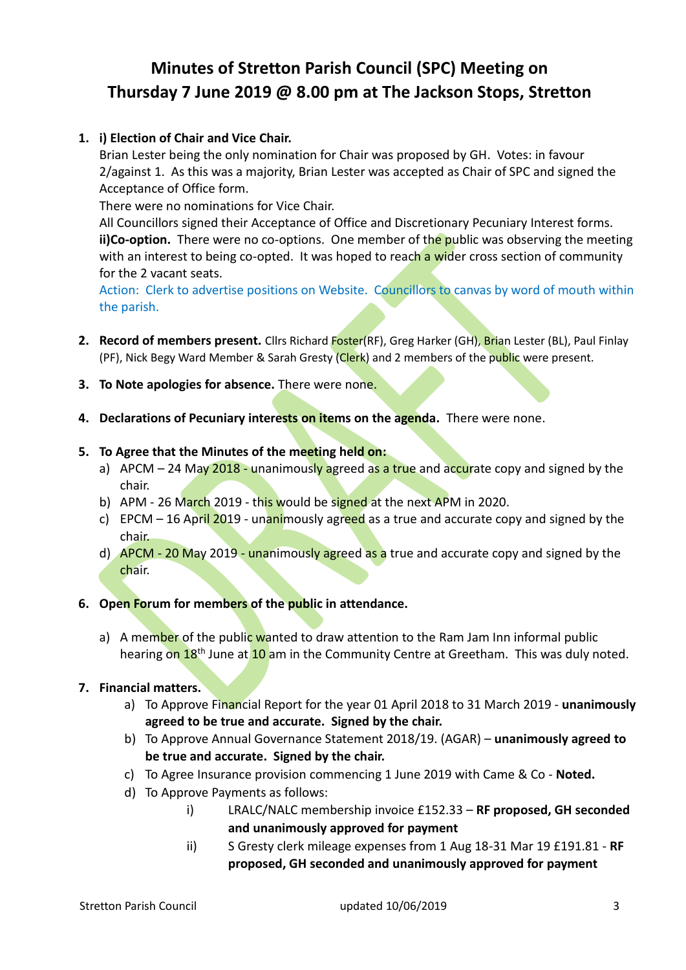# **Minutes of Stretton Parish Council (SPC) Meeting on Thursday 7 June 2019 @ 8.00 pm at The Jackson Stops, Stretton**

# **1. i) Election of Chair and Vice Chair.**

Brian Lester being the only nomination for Chair was proposed by GH. Votes: in favour 2/against 1. As this was a majority, Brian Lester was accepted as Chair of SPC and signed the Acceptance of Office form.

There were no nominations for Vice Chair.

All Councillors signed their Acceptance of Office and Discretionary Pecuniary Interest forms. **ii)Co-option.** There were no co-options. One member of the public was observing the meeting with an interest to being co-opted. It was hoped to reach a wider cross section of community for the 2 vacant seats.

Action: Clerk to advertise positions on Website. Councillors to canvas by word of mouth within the parish.

- 2. **Record of members present.** Cllrs Richard Foster(RF), Greg Harker (GH), Brian Lester (BL), Paul Finlay (PF), Nick Begy Ward Member & Sarah Gresty (Clerk) and 2 members of the public were present.
- **3. To Note apologies for absence.** There were none.
- **4. Declarations of Pecuniary interests on items on the agenda.** There were none.

#### **5. To Agree that the Minutes of the meeting held on:**

- a) APCM 24 May  $2018$  unanimously agreed as a true and accurate copy and signed by the chair.
- b) APM 26 March 2019 this would be signed at the next APM in 2020.
- c) EPCM 16 April 2019 unanimously agreed as a true and accurate copy and signed by the chair.
- d) APCM 20 May 2019 unanimously agreed as a true and accurate copy and signed by the chair.

## **6. Open Forum for members of the public in attendance.**

a) A member of the public wanted to draw attention to the Ram Jam Inn informal public hearing on 18<sup>th</sup> June at 10 am in the Community Centre at Greetham. This was duly noted.

## **7. Financial matters.**

- a) To Approve Financial Report for the year 01 April 2018 to 31 March 2019 **unanimously agreed to be true and accurate. Signed by the chair.**
- b) To Approve Annual Governance Statement 2018/19. (AGAR) **unanimously agreed to be true and accurate. Signed by the chair.**
- c) To Agree Insurance provision commencing 1 June 2019 with Came & Co **Noted.**
- d) To Approve Payments as follows:
	- i) LRALC/NALC membership invoice £152.33 **RF proposed, GH seconded and unanimously approved for payment**
	- ii) S Gresty clerk mileage expenses from 1 Aug 18-31 Mar 19 £191.81 **RF proposed, GH seconded and unanimously approved for payment**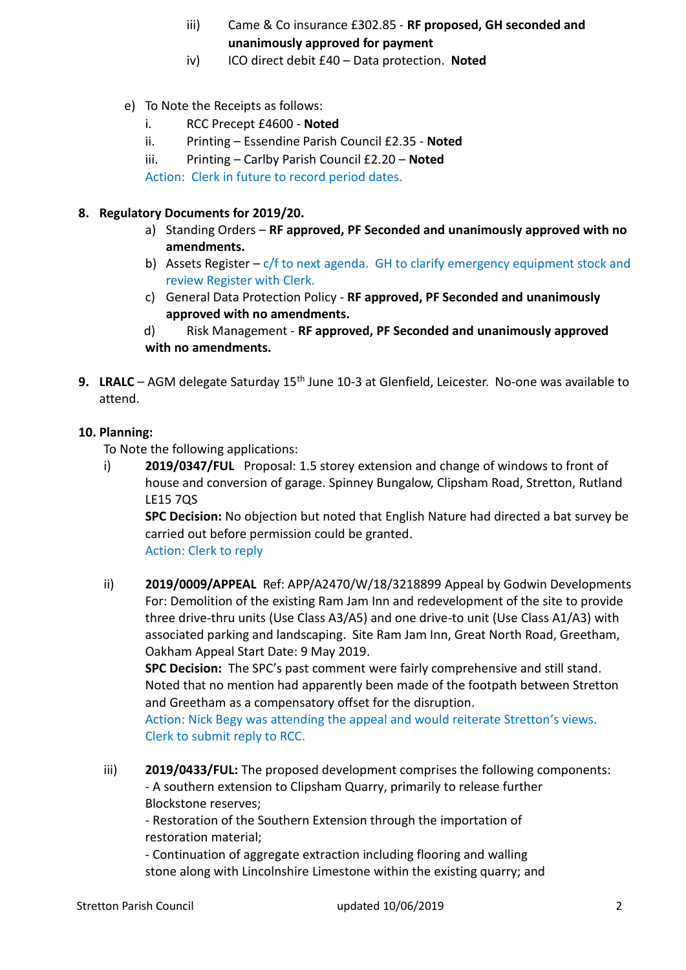- iii) Came & Co insurance £302.85 **RF proposed, GH seconded and unanimously approved for payment**
- iv) ICO direct debit £40 Data protection. **Noted**
- e) To Note the Receipts as follows:
	- i. RCC Precept £4600 **Noted**
	- ii. Printing Essendine Parish Council £2.35 **Noted**
	- iii. Printing Carlby Parish Council £2.20 **Noted**

Action: Clerk in future to record period dates.

#### **8. Regulatory Documents for 2019/20.**

- a) Standing Orders **RF approved, PF Seconded and unanimously approved with no amendments.**
- b) Assets Register  $-c/f$  to next agenda. GH to clarify emergency equipment stock and review Register with Clerk.
- c) General Data Protection Policy **RF approved, PF Seconded and unanimously approved with no amendments.**
- d) Risk Management **RF approved, PF Seconded and unanimously approved with no amendments.**
- 9. **LRALC** AGM delegate Saturday 15<sup>th</sup> June 10-3 at Glenfield, Leicester. No-one was available to attend.

#### **10. Planning:**

To Note the following applications:

i) **2019/0347/FUL** Proposal: 1.5 storey extension and change of windows to front of house and conversion of garage. Spinney Bungalow, Clipsham Road, Stretton, Rutland LE15 7QS

**SPC Decision:** No objection but noted that English Nature had directed a bat survey be carried out before permission could be granted. Action: Clerk to reply

ii) **2019/0009/APPEAL** Ref: APP/A2470/W/18/3218899 Appeal by Godwin Developments For: Demolition of the existing Ram Jam Inn and redevelopment of the site to provide three drive-thru units (Use Class A3/A5) and one drive-to unit (Use Class A1/A3) with associated parking and landscaping. Site Ram Jam Inn, Great North Road, Greetham, Oakham Appeal Start Date: 9 May 2019.

**SPC Decision:** The SPC's past comment were fairly comprehensive and still stand. Noted that no mention had apparently been made of the footpath between Stretton and Greetham as a compensatory offset for the disruption.

Action: Nick Begy was attending the appeal and would reiterate Stretton's views. Clerk to submit reply to RCC.

iii) **2019/0433/FUL:** The proposed development comprises the following components: - A southern extension to Clipsham Quarry, primarily to release further Blockstone reserves;

- Restoration of the Southern Extension through the importation of restoration material;

- Continuation of aggregate extraction including flooring and walling stone along with Lincolnshire Limestone within the existing quarry; and